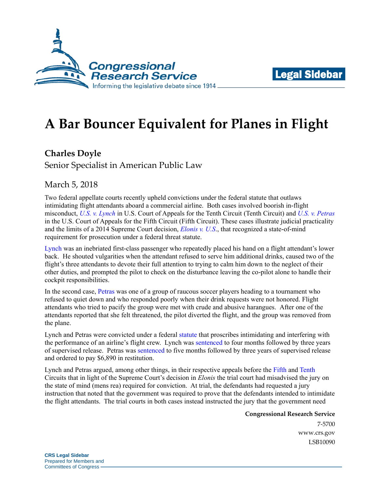



## **A Bar Bouncer Equivalent for Planes in Flight**

**Charles Doyle**

Senior Specialist in American Public Law

March 5, 2018

Two federal appellate courts recently upheld convictions under the federal statute that outlaws intimidating flight attendants aboard a commercial airline. Both cases involved boorish in-flight misconduct, *[U.S. v. Lynch](https://www.ca10.uscourts.gov/opinions/16/16-1242.pdf)* in U.S. Court of Appeals for the Tenth Circuit (Tenth Circuit) and *[U.S. v. Petras](http://www.ca5.uscourts.gov/opinions/pub/16/16-11631-CR0.pdf)* in the U.S. Court of Appeals for the Fifth Circuit (Fifth Circuit). These cases illustrate judicial practicality and the limits of a 2014 Supreme Court decision, *[Elonis v. U.S](https://www.supremecourt.gov/opinions/14pdf/13-983_7l48.pdf)*., that recognized a state-of-mind requirement for prosecution under a federal threat statute.

[Lynch](https://www.ca10.uscourts.gov/opinions/16/16-1242.pdf) was an inebriated first-class passenger who repeatedly placed his hand on a flight attendant's lower back. He shouted vulgarities when the attendant refused to serve him additional drinks, caused two of the flight's three attendants to devote their full attention to trying to calm him down to the neglect of their other duties, and prompted the pilot to check on the disturbance leaving the co-pilot alone to handle their cockpit responsibilities.

In the second case, [Petras](http://www.ca5.uscourts.gov/opinions/pub/16/16-11631-CR0.pdf) was one of a group of raucous soccer players heading to a tournament who refused to quiet down and who responded poorly when their drink requests were not honored. Flight attendants who tried to pacify the group were met with crude and abusive harangues. After one of the attendants reported that she felt threatened, the pilot diverted the flight, and the group was removed from the plane.

Lynch and Petras were convicted under a federal [statute](http://uscode.house.gov/view.xhtml?req=(title:49%20section:46504%20edition:prelim)%20OR%20(granuleid:USC-prelim-title49-section46504)&f=treesort&edition=prelim&num=0&jumpTo=true) that proscribes intimidating and interfering with the performance of an airline's flight crew. Lynch was [sentenced](https://www.ca10.uscourts.gov/opinions/16/16-1242.pdf) to four months followed by three years of supervised release. Petras was [sentenced](http://www.ca5.uscourts.gov/opinions/pub/16/16-11631-CR0.pdf) to five months followed by three years of supervised release and ordered to pay \$6,890 in restitution.

Lynch and Petras argued, among other things, in their respective appeals before the [Fifth](http://www.ca5.uscourts.gov/opinions/pub/16/16-11631-CR0.pdf) and [Tenth](https://www.ca10.uscourts.gov/opinions/16/16-1242.pdf) Circuits that in light of the Supreme Court's decision in *Elonis* the trial court had misadvised the jury on the state of mind (mens rea) required for conviction. At trial, the defendants had requested a jury instruction that noted that the government was required to prove that the defendants intended to intimidate the flight attendants. The trial courts in both cases instead instructed the jury that the government need

> **Congressional Research Service** 7-5700 [www.crs.gov](http://www.crs.gov/)

> > LSB10090

**CRS Legal Sidebar** Prepared for Members and Committees of Congress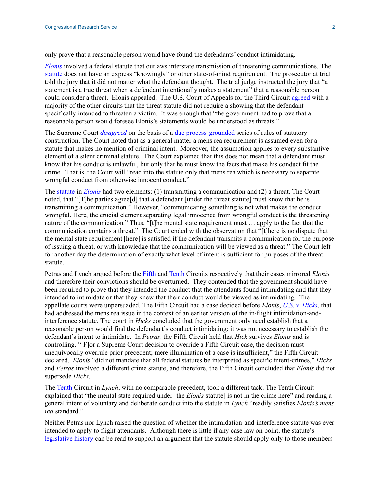only prove that a reasonable person would have found the defendants' conduct intimidating.

*[Elonis](https://www.supremecourt.gov/opinions/14pdf/13-983_7l48.pdf)* involved a federal statute that outlaws interstate transmission of threatening communications. The [statute](http://uscode.house.gov/view.xhtml?req=(title:18%20section:875%20edition:prelim)%20OR%20(granuleid:USC-prelim-title18-section875)&f=treesort&edition=prelim&num=0&jumpTo=true) does not have an express "knowingly" or other state-of-mind requirement. The prosecutor at trial told the jury that it did not matter what the defendant thought. The trial judge instructed the jury that "a statement is a true threat when a defendant intentionally makes a statement" that a reasonable person could consider a threat. Elonis appealed. The U.S. Court of Appeals for the Third Circuit [agreed](http://www2.ca3.uscourts.gov/opinarch/123798p1.pdf) with a majority of the other circuits that the threat statute did not require a showing that the defendant specifically intended to threaten a victim. It was enough that "the government had to prove that a reasonable person would foresee Elonis's statements would be understood as threats."

The Supreme Court *[disagreed](https://www.supremecourt.gov/opinions/14pdf/13-983_7l48.pdf)* on the basis of a due [process-grounded](https://supreme.justia.com/cases/federal/us/355/225/case.html) series of rules of statutory construction. The Court noted that as a general matter a mens rea requirement is assumed even for a statute that makes no mention of criminal intent. Moreover, the assumption applies to every substantive element of a silent criminal statute. The Court explained that this does not mean that a defendant must know that his conduct is unlawful, but only that he must know the facts that make his conduct fit the crime. That is, the Court will "read into the statute only that mens rea which is necessary to separate wrongful conduct from otherwise innocent conduct."

The [statute](http://uscode.house.gov/view.xhtml?req=(title:18%20section:875%20edition:prelim)%20OR%20(granuleid:USC-prelim-title18-section875)&f=treesort&edition=prelim&num=0&jumpTo=true) in *[Elonis](https://www.supremecourt.gov/opinions/14pdf/13-983_7l48.pdf)* had two elements: (1) transmitting a communication and (2) a threat. The Court noted, that "[T]he parties agree[d] that a defendant [under the threat statute] must know that he is transmitting a communication." However, "communicating something is not what makes the conduct wrongful. Here, the crucial element separating legal innocence from wrongful conduct is the threatening nature of the communication." Thus, "[t]he mental state requirement must … apply to the fact that the communication contains a threat." The Court ended with the observation that "[t]here is no dispute that the mental state requirement [here] is satisfied if the defendant transmits a communication for the purpose of issuing a threat, or with knowledge that the communication will be viewed as a threat." The Court left for another day the determination of exactly what level of intent is sufficient for purposes of the threat statute.

Petras and Lynch argued before the [Fifth](http://www.ca5.uscourts.gov/opinions/pub/16/16-11631-CR0.pdf) an[d Tenth](https://www.ca10.uscourts.gov/opinions/16/16-1242.pdf) Circuits respectively that their cases mirrored *Elonis* and therefore their convictions should be overturned. They contended that the government should have been required to prove that they intended the conduct that the attendants found intimidating and that they intended to intimidate or that they knew that their conduct would be viewed as intimidating. The appellate courts were unpersuaded. The Fifth Circuit had a case decided before *Elonis*, *U.S. [v. Hicks](http://www.ca5.uscourts.gov/opinions%5Cpub%5C91/91-6272.0.wpd.pdf)*, that had addressed the mens rea issue in the context of an earlier version of the in-flight intimidation-andinterference statute. The court in *Hicks* concluded that the government only need establish that a reasonable person would find the defendant's conduct intimidating; it was not necessary to establish the defendant's intent to intimidate. In *Petras*, the Fifth Circuit held that *Hick* survives *Elonis* and is controlling. "[F]or a Supreme Court decision to override a Fifth Circuit case, the decision must unequivocally overrule prior precedent; mere illumination of a case is insufficient," the Fifth Circuit declared. *Elonis* "did not mandate that all federal statutes be interpreted as specific intent-crimes," *Hicks*  and *Petras* involved a different crime statute, and therefore, the Fifth Circuit concluded that *Elonis* did not supersede *Hicks*.

Th[e Tenth](https://www.ca10.uscourts.gov/opinions/16/16-1242.pdf) Circuit in *Lynch*, with no comparable precedent, took a different tack. The Tenth Circuit explained that "the mental state required under [the *Elonis* statute] is not in the crime here" and reading a general intent of voluntary and deliberate conduct into the statute in *Lynch* "readily satisfies *Elonis's mens rea* standard."

Neither Petras nor Lynch raised the question of whether the intimidation-and-interference statute was ever intended to apply to flight attendants. Although there is little if any case law on point, the statute's [legislative history](https://congressional.proquest.com/congressional/result/pqpresultpage.gispdfhitspanel.pdflink/$2fapp-bin$2fgis-serialset$2f9$2fe$2fb$2fb$2f12325_srp694_from_1_to_11.pdf+/AND+$22crimes+aboard+aircraft$22$40$2fapp-gis$2fserialset$2f12325_s.rp.694$40Serial+Set+1$40House+and+Senate+Reports$3b+Reports+on+Public+Bill$40August+09,+1961$40null?pgId=8cc8d2fe-f3cc-440a-a3d7-010ce8ada95a&rsId=1611FF1AA46) can be read to support an argument that the statute should apply only to those members